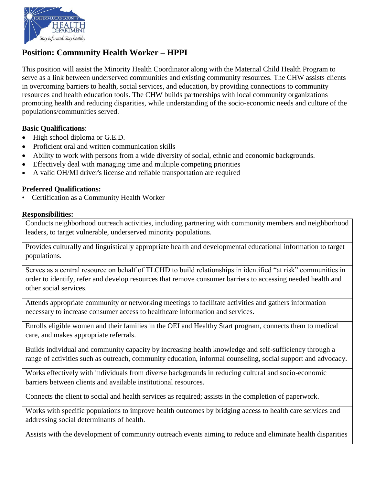

# **Position: Community Health Worker – HPPI**

This position will assist the Minority Health Coordinator along with the Maternal Child Health Program to serve as a link between underserved communities and existing community resources. The CHW assists clients in overcoming barriers to health, social services, and education, by providing connections to community resources and health education tools. The CHW builds partnerships with local community organizations promoting health and reducing disparities, while understanding of the socio-economic needs and culture of the populations/communities served.

## **Basic Qualifications**:

- High school diploma or G.E.D.
- Proficient oral and written communication skills
- Ability to work with persons from a wide diversity of social, ethnic and economic backgrounds.
- Effectively deal with managing time and multiple competing priorities
- A valid OH/MI driver's license and reliable transportation are required

## **Preferred Qualifications:**

• Certification as a Community Health Worker

#### **Responsibilities:**

Conducts neighborhood outreach activities, including partnering with community members and neighborhood leaders, to target vulnerable, underserved minority populations.

Provides culturally and linguistically appropriate health and developmental educational information to target populations.

Serves as a central resource on behalf of TLCHD to build relationships in identified "at risk" communities in order to identify, refer and develop resources that remove consumer barriers to accessing needed health and other social services.

Attends appropriate community or networking meetings to facilitate activities and gathers information necessary to increase consumer access to healthcare information and services.

Enrolls eligible women and their families in the OEI and Healthy Start program, connects them to medical care, and makes appropriate referrals.

Builds individual and community capacity by increasing health knowledge and self-sufficiency through a range of activities such as outreach, community education, informal counseling, social support and advocacy.

Works effectively with individuals from diverse backgrounds in reducing cultural and socio-economic barriers between clients and available institutional resources.

Connects the client to social and health services as required; assists in the completion of paperwork.

Works with specific populations to improve health outcomes by bridging access to health care services and addressing social determinants of health.

Assists with the development of community outreach events aiming to reduce and eliminate health disparities